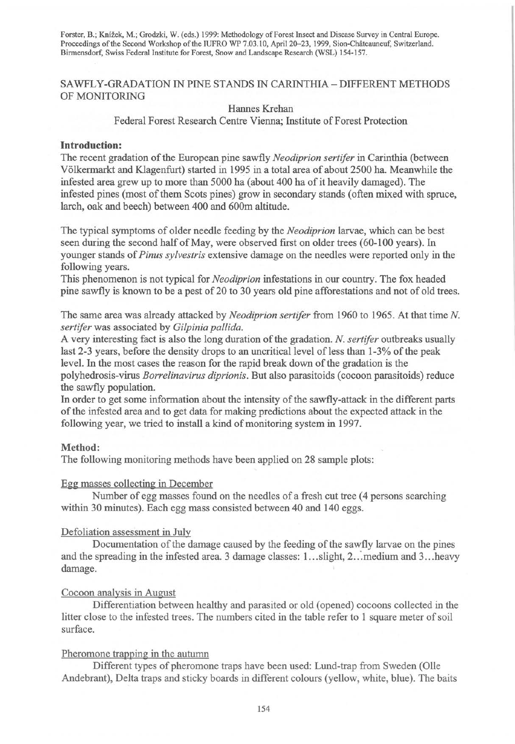Forster, B.; Knížek, M.; Grodzki, W. (eds.) 1999: Methodology of Forest Insect and Disease Survey in Central Europe. Proceedings of the Second Workshop of the IUFRO WP 7.03.10, April 20-23, 1999, Sion-Châteauneuf, Switzerland. Birmensdorf, Swiss Federal Institute for Forest, Snow and Landscape Research (WSL) 154-157.

# SAWFLY-GRADATION IN PINE STANDS IN CARINTHIA - DIFFERENT METHODS OF MONITORING

### Hannes Krehan

Federal Forest Research Centre Vienna; Institute of Forest Protection

## **Introduction:**

The recent gradation of the European pine sawfly *Neodiprion sertifer* in Carinthia (between Volkermarkt and Klagenfurt) started in 1995 in a total area of about 2500 ha. Meanwhile the infested area grew up to more than 5000 ha (about 400 ha of it heavily damaged). The infested pines (most of them Scots pines) grow in secondary stands (often mixed with spruce, larch, oak and beech) between 400 and 600m altitude.

The typical symptoms of older needle feeding by the *Neodiprion* larvae, which can be best seen during the second half of May, were observed first on older trees (60-100 years). In younger stands of *Pinus sylvestris* extensive damage on the needles were reported only in the following years.

This phenomenon is not typical for *Neodiprion* infestations in our country. The fox headed pine sawfly is known to be a pest of 20 to 30 years old pine afforestations and not of old trees.

The same area was already attacked by *Neodiprion sertifer* from 1960 to 1965. At that time *N. sertifer* was associated by *Gilpinia pallida.* 

A very interesting fact is also the long duration of the gradation. *N. sertifer* outbreaks usually last 2-3 years, before the density drops to an uncritical level of less than 1-3% of the peak level. In the most cases the reason for the rapid break down of the gradation is the polyhedrosis-virus *Borrelinavirus diprionis.* But also parasitoids (cocoon parasitoids) reduce the sawfly population.

In order to get some information about the intensity of the sawfly-attack in the different parts of the infested area and to get data for making predictions about the expected attack in the following year, we tried to install a kind of monitoring system in 1997.

### **Method:**

The following monitoring methods have been applied on 28 sample plots:

### Egg masses collecting in December

Number of egg masses found on the needles of a fresh cut tree (4 persons searching within 30 minutes). Each egg mass consisted between 40 and 140 eggs.

### Defoliation assessment in July

Documentation of the damage caused by the feeding of the sawfly larvae on the pines and the spreading in the infested area. 3 damage classes: 1... slight, 2... medium and 3... heavy damage.

#### Cocoon analysis in August

Differentiation between healthy and parasited or old (opened) cocoons collected in the litter close to the infested trees. The numbers cited in the table refer to 1 square meter of soil surface.

### Pheromone trapping in the autumn

Different types of pheromone traps have been used: Lund-trap from Sweden (Olle Andebrant), Delta traps and sticky boards in different colours (yellow, white, blue). The baits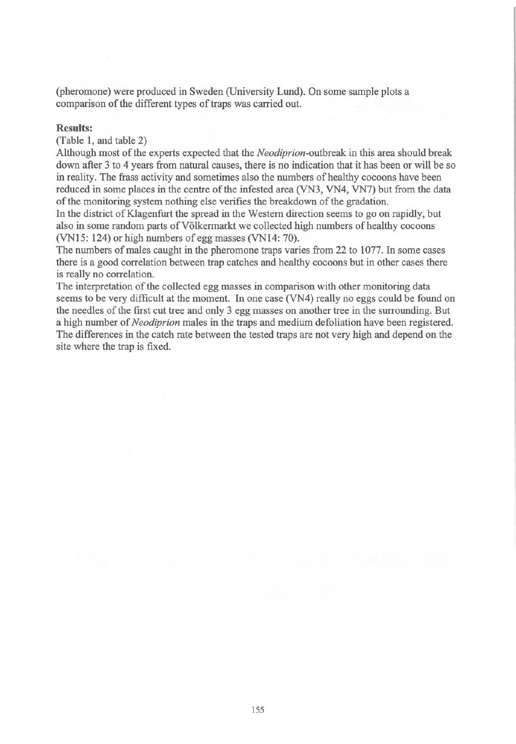(pheromone) were produced in Sweden (University Lund). On some sample plots a comparison of the different types of traps was carried out.

### **Results:**

## (Table 1, and table 2)

Although most of the experts expected that the *Neodiprion*-outbreak in this area should break down after 3 to 4 years from natural causes, there is no indication that it has been or will be so in reality. The frass activity and sometimes also the numbers of healthy cocoons have been reduced in some places in the centre of the infested area (VN3, VN4, VN7) but from the data of the monitoring system nothing else verifies the breakdown of the gradation.

In the district of Klagenfurt the spread in the Western direction seems to go on rapidly, but also in some random parts of Völkermarkt we collected high numbers of healthy cocoons (VN15: 124) or high numbers of egg masses (VN14: 70).

The numbers of males caught in the pheromone traps varies from 22 to 1077. In some cases there is a good correlation between trap catches and healthy cocoons but in other cases there is really no correlation.

The interpretation of the collected egg masses in comparison with other monitoring data seems to be very difficult at the moment. In one case (VN4) really no eggs could be found on the needles of the first cut tree and only 3 egg masses on another tree in the surrounding. But a high number of *Neodiprion* males in the traps and medium defoliation have been registered. The differences in the catch rate between the tested traps are not very high and depend on the site where the trap is fixed.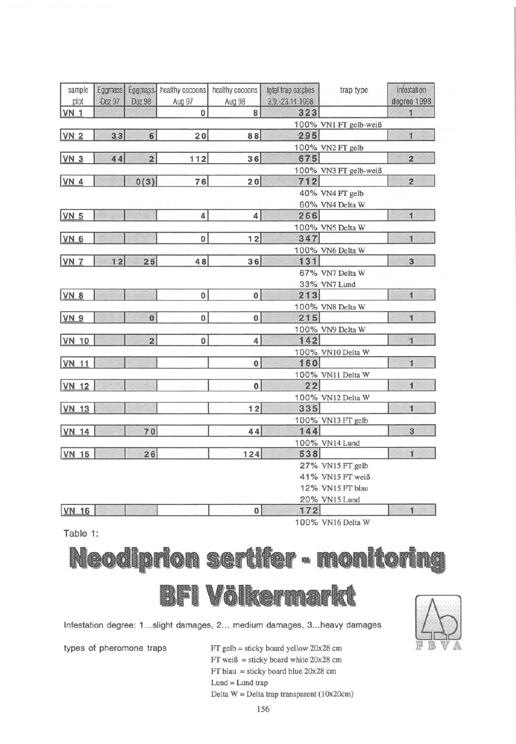| sample<br>plot | Eggmass<br>Dez 97 | Dez 98           | Eggmass. healthy cocoons<br>Aug 97 | healthy cocoons<br>Aug 98 | total trap catches<br>3.9.-23.11.1998 | trap type             | infestation<br>degree 1998 |
|----------------|-------------------|------------------|------------------------------------|---------------------------|---------------------------------------|-----------------------|----------------------------|
| <b>VN 1</b>    |                   |                  | 0                                  | 8                         | 323                                   |                       | 1                          |
|                |                   |                  |                                    |                           |                                       | 100% VN1 FT gelb-weiß |                            |
| <b>VN 2</b>    | 33                | $6 \overline{6}$ | 20                                 | 88                        | 295                                   |                       | $\mathbf{1}$               |
|                |                   |                  |                                    |                           |                                       | 100% VN2 FT gelb      |                            |
| <b>VN 3</b>    | 44                | $\overline{2}$   | 112                                | 36                        | 675                                   |                       | $\overline{c}$             |
|                |                   |                  |                                    |                           |                                       | 100% VN3 FT gelb-weiß |                            |
| <b>VN 4</b>    |                   | 0(3)             | 76                                 | 20                        | 712                                   |                       | $\overline{2}$             |
|                |                   |                  |                                    |                           |                                       | 40% VN4 FT gelb       |                            |
|                |                   |                  |                                    |                           |                                       | 60% VN4 Delta W       |                            |
| <b>VN 5</b>    |                   |                  | $\overline{4}$                     | $\overline{4}$            | 266                                   |                       | $\mathbf{1}$               |
|                |                   |                  |                                    |                           |                                       | 100% VN5 Delta W      |                            |
| <b>VN 6</b>    |                   |                  | $\mathbf 0$                        | 12                        | 347                                   |                       | $\mathbf{1}$               |
|                |                   |                  |                                    |                           |                                       | 100% VN6 Delta W      |                            |
| <b>VN 7</b>    | 12                | 25               | 48                                 | 36                        | 131                                   |                       | 3                          |
|                |                   |                  |                                    |                           |                                       | 67% VN7 Delta W       |                            |
|                |                   |                  |                                    |                           |                                       | 33% VN7 Lund          |                            |
| <b>VN 8</b>    |                   |                  | 0                                  | $\pmb{0}$                 | 213                                   |                       | $\mathbf{1}$               |
|                |                   |                  |                                    |                           |                                       | 100% VN8 Delta W      |                            |
| <b>VN 9</b>    |                   | $\bf{0}$         | 0                                  | 0                         | 215                                   |                       | $\mathbf{1}$               |
|                |                   |                  |                                    |                           |                                       | 100% VN9 Delta W      |                            |
| <b>VN 10</b>   |                   | $\overline{2}$   | $\mathbf 0$                        | 4                         | 142                                   |                       | $\mathbf{I}$               |
|                |                   |                  |                                    |                           |                                       | 100% VN10 Delta W     |                            |
| <b>VN 11</b>   |                   |                  |                                    | $\mathbf{0}$              | 160                                   |                       | $\mathbf{1}$               |
|                |                   |                  |                                    |                           |                                       | 100% VN11 Delta W     |                            |
| <b>VN 12</b>   |                   |                  |                                    | O                         | 22                                    |                       | $\overline{\mathbf{1}}$    |
|                |                   |                  |                                    |                           |                                       | 100% VN12 Delta W     |                            |
| <b>VN 13</b>   |                   |                  |                                    | 12                        | 335                                   |                       | $\mathbf{1}$               |
|                |                   |                  |                                    |                           |                                       | 100% VN13 FT gelb     |                            |
| <b>VN 14</b>   |                   | 70               |                                    | 44                        | 144                                   |                       | 3                          |
|                |                   |                  |                                    |                           |                                       | 100% VN14 Lund        |                            |
| <b>VN 15</b>   |                   | 26               |                                    | 124                       | 538                                   |                       | $\overline{1}$             |
|                |                   |                  |                                    |                           |                                       | 27% VN15 FT gelb      |                            |
|                |                   |                  |                                    |                           |                                       | 41% VN15 FT weiß      |                            |
|                |                   |                  |                                    |                           |                                       | 12% VN15 FT blau      |                            |
|                |                   |                  |                                    |                           |                                       | 20% VN15 Lund         |                            |
| <b>VN 16</b>   |                   |                  |                                    | $\mathbf{0}$              | $172$                                 |                       | $\mathbf{1}$               |
|                |                   |                  |                                    |                           |                                       | 100% VN16 Delta W     |                            |

Table 1:





Infestation degree: 1 ... slight damages, 2 ... medium damages, 3 ... heavy damages

types of pheromone traps FT gelb = sticky board yellow 20x28 cm  $FT$  weiß = sticky board white 20x28 cm FT blau = sticky board blue 20x28 cm  $Lund = Lund trap$ Delta  $W =$  Delta trap transparent (10x20cm)